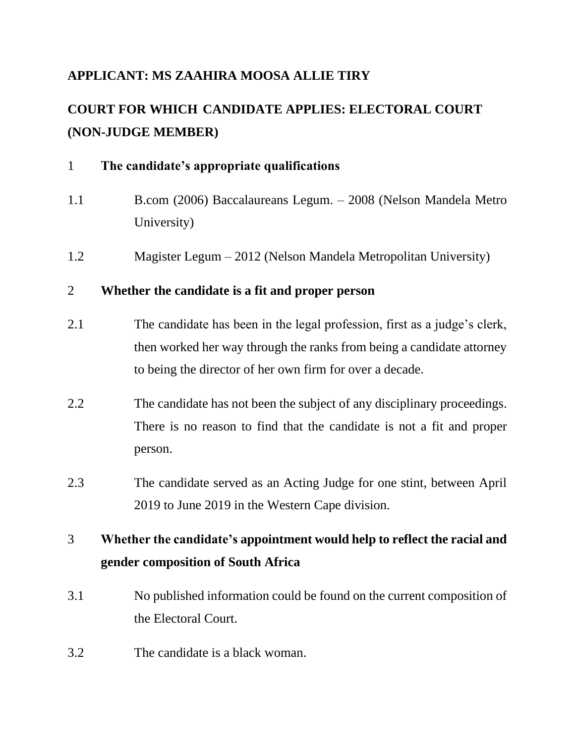## **APPLICANT: MS ZAAHIRA MOOSA ALLIE TIRY**

# **COURT FOR WHICH CANDIDATE APPLIES: ELECTORAL COURT (NON-JUDGE MEMBER)**

| $\mathbf{1}$   | The candidate's appropriate qualifications                                                                                                                                                                     |
|----------------|----------------------------------------------------------------------------------------------------------------------------------------------------------------------------------------------------------------|
| 1.1            | B.com (2006) Baccalaureans Legum. - 2008 (Nelson Mandela Metro<br>University)                                                                                                                                  |
| 1.2            | Magister Legum – 2012 (Nelson Mandela Metropolitan University)                                                                                                                                                 |
| $\overline{2}$ | Whether the candidate is a fit and proper person                                                                                                                                                               |
| 2.1            | The candidate has been in the legal profession, first as a judge's clerk,<br>then worked her way through the ranks from being a candidate attorney<br>to being the director of her own firm for over a decade. |
| 2.2            | The candidate has not been the subject of any disciplinary proceedings.<br>There is no reason to find that the candidate is not a fit and proper<br>person.                                                    |
| 2.3            | The candidate served as an Acting Judge for one stint, between April<br>2019 to June 2019 in the Western Cape division.                                                                                        |
| 3              | Whether the candidate's appointment would help to reflect the racial and<br>gender composition of South Africa                                                                                                 |
| 3.1            | No published information could be found on the current composition of<br>the Electoral Court.                                                                                                                  |
| 3.2            | The candidate is a black woman.                                                                                                                                                                                |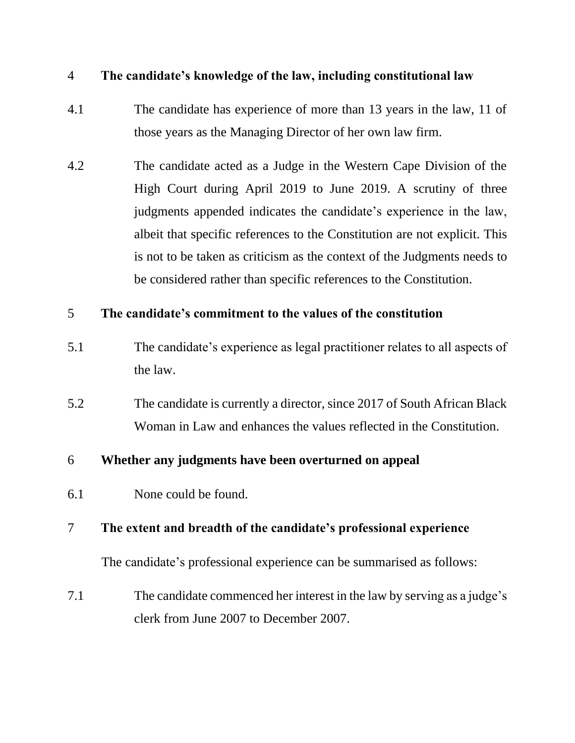#### 4 **The candidate's knowledge of the law, including constitutional law**

- 4.1 The candidate has experience of more than 13 years in the law, 11 of those years as the Managing Director of her own law firm.
- 4.2 The candidate acted as a Judge in the Western Cape Division of the High Court during April 2019 to June 2019. A scrutiny of three judgments appended indicates the candidate's experience in the law, albeit that specific references to the Constitution are not explicit. This is not to be taken as criticism as the context of the Judgments needs to be considered rather than specific references to the Constitution.

#### 5 **The candidate's commitment to the values of the constitution**

- 5.1 The candidate's experience as legal practitioner relates to all aspects of the law.
- 5.2 The candidate is currently a director, since 2017 of South African Black Woman in Law and enhances the values reflected in the Constitution.

#### 6 **Whether any judgments have been overturned on appeal**

6.1 None could be found.

#### 7 **The extent and breadth of the candidate's professional experience**

The candidate's professional experience can be summarised as follows:

7.1 The candidate commenced her interest in the law by serving as a judge's clerk from June 2007 to December 2007.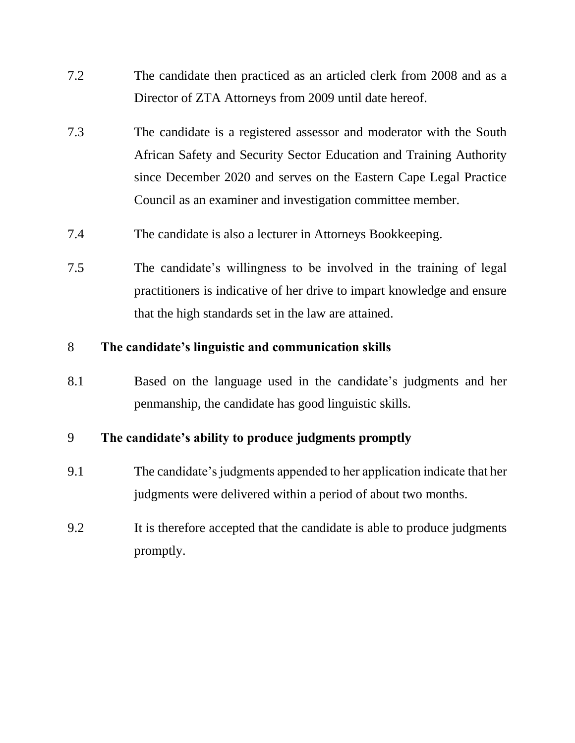- 7.2 The candidate then practiced as an articled clerk from 2008 and as a Director of ZTA Attorneys from 2009 until date hereof.
- 7.3 The candidate is a registered assessor and moderator with the South African Safety and Security Sector Education and Training Authority since December 2020 and serves on the Eastern Cape Legal Practice Council as an examiner and investigation committee member.
- 7.4 The candidate is also a lecturer in Attorneys Bookkeeping.
- 7.5 The candidate's willingness to be involved in the training of legal practitioners is indicative of her drive to impart knowledge and ensure that the high standards set in the law are attained.

#### 8 **The candidate's linguistic and communication skills**

8.1 Based on the language used in the candidate's judgments and her penmanship, the candidate has good linguistic skills.

## 9 **The candidate's ability to produce judgments promptly**

- 9.1 The candidate's judgments appended to her application indicate that her judgments were delivered within a period of about two months.
- 9.2 It is therefore accepted that the candidate is able to produce judgments promptly.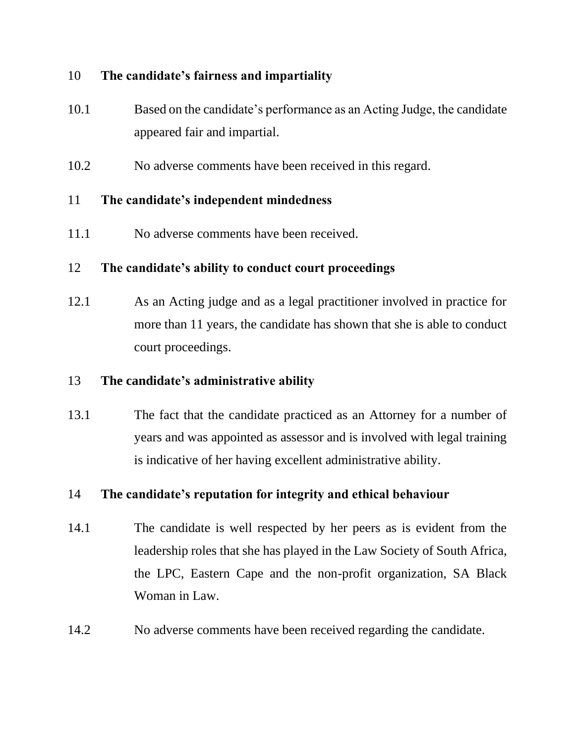#### 10 **The candidate's fairness and impartiality**

- 10.1 Based on the candidate's performance as an Acting Judge, the candidate appeared fair and impartial.
- 10.2 No adverse comments have been received in this regard.

### 11 **The candidate's independent mindedness**

11.1 No adverse comments have been received.

### 12 **The candidate's ability to conduct court proceedings**

12.1 As an Acting judge and as a legal practitioner involved in practice for more than 11 years, the candidate has shown that she is able to conduct court proceedings.

## 13 **The candidate's administrative ability**

13.1 The fact that the candidate practiced as an Attorney for a number of years and was appointed as assessor and is involved with legal training is indicative of her having excellent administrative ability.

## 14 **The candidate's reputation for integrity and ethical behaviour**

- 14.1 The candidate is well respected by her peers as is evident from the leadership roles that she has played in the Law Society of South Africa, the LPC, Eastern Cape and the non-profit organization, SA Black Woman in Law.
- 14.2 No adverse comments have been received regarding the candidate.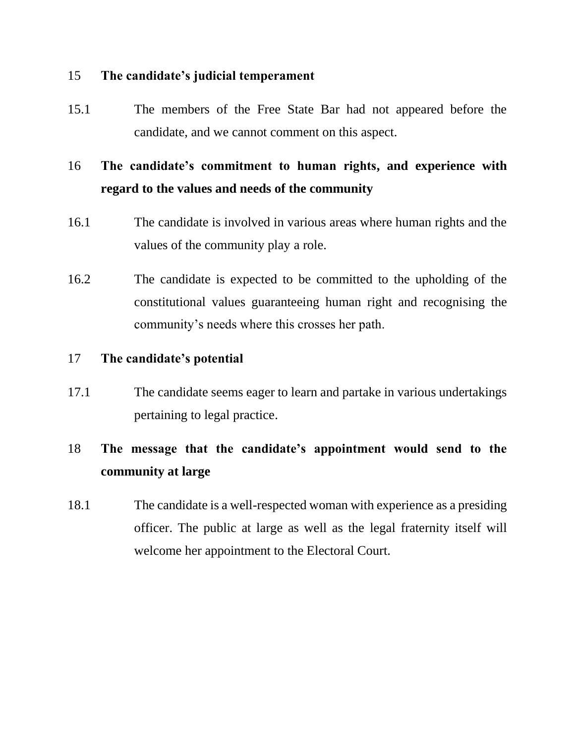#### 15 **The candidate's judicial temperament**

15.1 The members of the Free State Bar had not appeared before the candidate, and we cannot comment on this aspect.

## 16 **The candidate's commitment to human rights, and experience with regard to the values and needs of the community**

- 16.1 The candidate is involved in various areas where human rights and the values of the community play a role.
- 16.2 The candidate is expected to be committed to the upholding of the constitutional values guaranteeing human right and recognising the community's needs where this crosses her path.

#### 17 **The candidate's potential**

17.1 The candidate seems eager to learn and partake in various undertakings pertaining to legal practice.

## 18 **The message that the candidate's appointment would send to the community at large**

18.1 The candidate is a well-respected woman with experience as a presiding officer. The public at large as well as the legal fraternity itself will welcome her appointment to the Electoral Court.